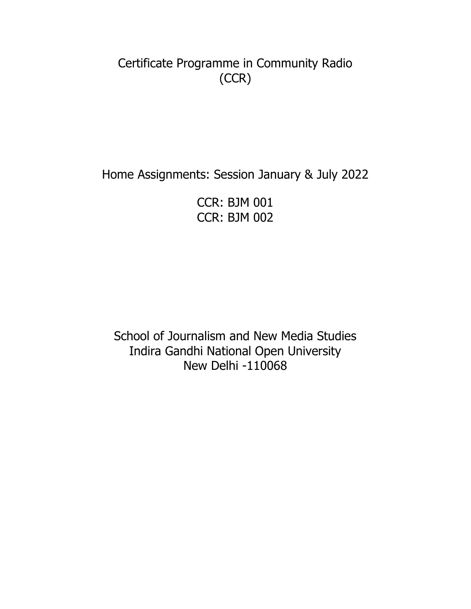Certificate Programme in Community Radio (CCR)

Home Assignments: Session January & July 2022

CCR: BJM 001 CCR: BJM 002

School of Journalism and New Media Studies Indira Gandhi National Open University New Delhi -110068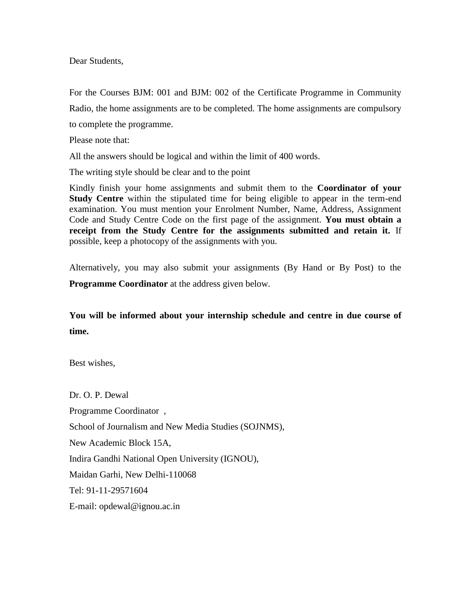Dear Students,

For the Courses BJM: 001 and BJM: 002 of the Certificate Programme in Community Radio, the home assignments are to be completed. The home assignments are compulsory to complete the programme.

Please note that:

All the answers should be logical and within the limit of 400 words.

The writing style should be clear and to the point

Kindly finish your home assignments and submit them to the **Coordinator of your Study Centre** within the stipulated time for being eligible to appear in the term-end examination. You must mention your Enrolment Number, Name, Address, Assignment Code and Study Centre Code on the first page of the assignment. **You must obtain a receipt from the Study Centre for the assignments submitted and retain it.** If possible, keep a photocopy of the assignments with you.

Alternatively, you may also submit your assignments (By Hand or By Post) to the **Programme Coordinator** at the address given below.

#### **You will be informed about your internship schedule and centre in due course of time.**

Best wishes,

Dr. O. P. Dewal Programme Coordinator , School of Journalism and New Media Studies (SOJNMS), New Academic Block 15A, Indira Gandhi National Open University (IGNOU), Maidan Garhi, New Delhi-110068 Tel: 91-11-29571604 E-mail: opdewal@ignou.ac.in